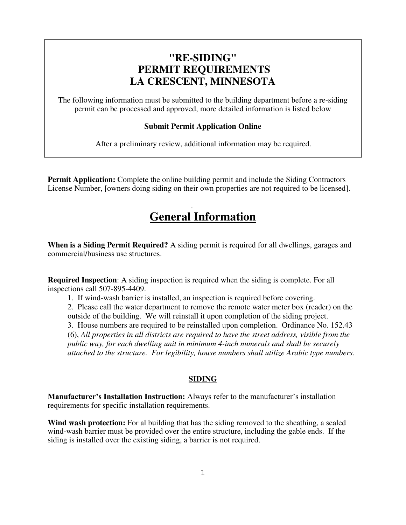## **"RE-SIDING" PERMIT REQUIREMENTS LA CRESCENT, MINNESOTA**

The following information must be submitted to the building department before a re-siding permit can be processed and approved, more detailed information is listed below

## **Submit Permit Application Online**

After a preliminary review, additional information may be required.

**Permit Application:** Complete the online building permit and include the Siding Contractors License Number, [owners doing siding on their own properties are not required to be licensed].

## . **General Information**

**When is a Siding Permit Required?** A siding permit is required for all dwellings, garages and commercial/business use structures.

**Required Inspection**: A siding inspection is required when the siding is complete. For all inspections call 507-895-4409.

1. If wind-wash barrier is installed, an inspection is required before covering.

2. Please call the water department to remove the remote water meter box (reader) on the outside of the building. We will reinstall it upon completion of the siding project. 3. House numbers are required to be reinstalled upon completion. Ordinance No. 152.43 (6), *All properties in all districts are required to have the street address, visible from the public way, for each dwelling unit in minimum 4-inch numerals and shall be securely* 

*attached to the structure. For legibility, house numbers shall utilize Arabic type numbers.* 

## **SIDING**

**Manufacturer's Installation Instruction:** Always refer to the manufacturer's installation requirements for specific installation requirements.

Wind wash protection: For al building that has the siding removed to the sheathing, a sealed wind-wash barrier must be provided over the entire structure, including the gable ends. If the siding is installed over the existing siding, a barrier is not required.